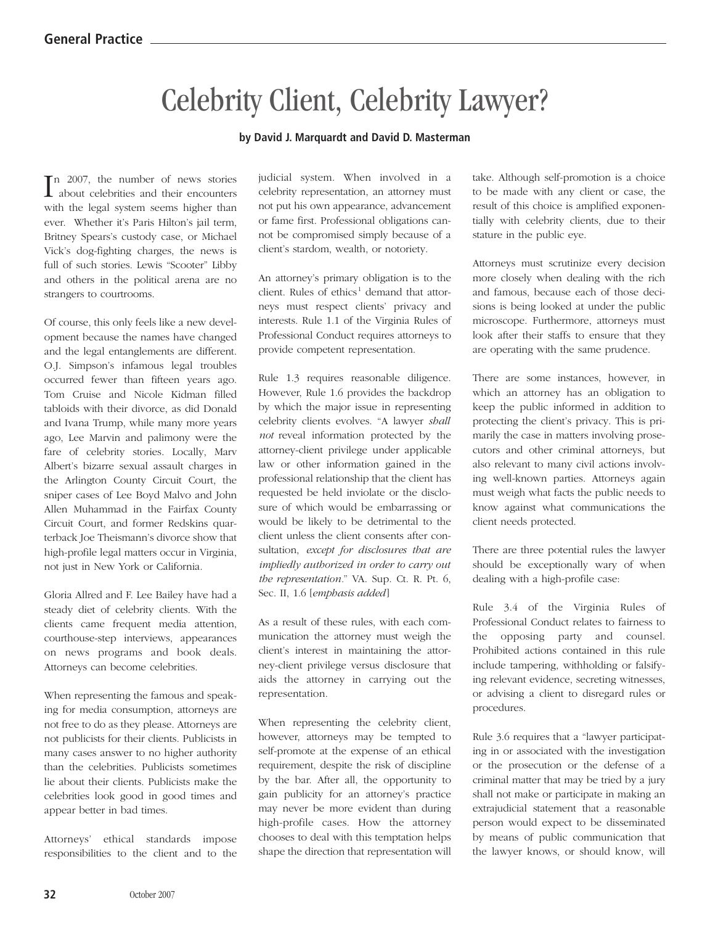## Celebrity Client, Celebrity Lawyer?

## **by David J. Marquardt and David D. Masterman**

In 2007, the number of news stories<br>about celebrities and their encounters about celebrities and their encounters with the legal system seems higher than ever. Whether it's Paris Hilton's jail term, Britney Spears's custody case, or Michael Vick's dog-fighting charges, the news is full of such stories. Lewis "Scooter" Libby and others in the political arena are no strangers to courtrooms.

Of course, this only feels like a new development because the names have changed and the legal entanglements are different. O.J. Simpson's infamous legal troubles occurred fewer than fifteen years ago. Tom Cruise and Nicole Kidman filled tabloids with their divorce, as did Donald and Ivana Trump, while many more years ago, Lee Marvin and palimony were the fare of celebrity stories. Locally, Marv Albert's bizarre sexual assault charges in the Arlington County Circuit Court, the sniper cases of Lee Boyd Malvo and John Allen Muhammad in the Fairfax County Circuit Court, and former Redskins quarterback Joe Theismann's divorce show that high-profile legal matters occur in Virginia, not just in New York or California.

Gloria Allred and F. Lee Bailey have had a steady diet of celebrity clients. With the clients came frequent media attention, courthouse-step interviews, appearances on news programs and book deals. Attorneys can become celebrities.

When representing the famous and speaking for media consumption, attorneys are not free to do as they please. Attorneys are not publicists for their clients. Publicists in many cases answer to no higher authority than the celebrities. Publicists sometimes lie about their clients. Publicists make the celebrities look good in good times and appear better in bad times.

Attorneys' ethical standards impose responsibilities to the client and to the

judicial system. When involved in a celebrity representation, an attorney must not put his own appearance, advancement or fame first. Professional obligations cannot be compromised simply because of a client's stardom, wealth, or notoriety.

An attorney's primary obligation is to the client. Rules of  $ethics<sup>1</sup>$  demand that attorneys must respect clients' privacy and interests. Rule 1.1 of the Virginia Rules of Professional Conduct requires attorneys to provide competent representation.

Rule 1.3 requires reasonable diligence. However, Rule 1.6 provides the backdrop by which the major issue in representing celebrity clients evolves. "A lawyer *shall not* reveal information protected by the attorney-client privilege under applicable law or other information gained in the professional relationship that the client has requested be held inviolate or the disclosure of which would be embarrassing or would be likely to be detrimental to the client unless the client consents after consultation, *except for disclosures that are impliedly authorized in order to carry out the representation.*" VA. Sup. Ct. R. Pt. 6, Sec. II, 1.6 [*emphasis added* ]

As a result of these rules, with each communication the attorney must weigh the client's interest in maintaining the attorney-client privilege versus disclosure that aids the attorney in carrying out the representation.

When representing the celebrity client, however, attorneys may be tempted to self-promote at the expense of an ethical requirement, despite the risk of discipline by the bar. After all, the opportunity to gain publicity for an attorney's practice may never be more evident than during high-profile cases. How the attorney chooses to deal with this temptation helps shape the direction that representation will

take. Although self-promotion is a choice to be made with any client or case, the result of this choice is amplified exponentially with celebrity clients, due to their stature in the public eye.

Attorneys must scrutinize every decision more closely when dealing with the rich and famous, because each of those decisions is being looked at under the public microscope. Furthermore, attorneys must look after their staffs to ensure that they are operating with the same prudence.

There are some instances, however, in which an attorney has an obligation to keep the public informed in addition to protecting the client's privacy. This is primarily the case in matters involving prosecutors and other criminal attorneys, but also relevant to many civil actions involving well-known parties. Attorneys again must weigh what facts the public needs to know against what communications the client needs protected.

There are three potential rules the lawyer should be exceptionally wary of when dealing with a high-profile case:

Rule 3.4 of the Virginia Rules of Professional Conduct relates to fairness to the opposing party and counsel. Prohibited actions contained in this rule include tampering, withholding or falsifying relevant evidence, secreting witnesses, or advising a client to disregard rules or procedures.

Rule 3.6 requires that a "lawyer participating in or associated with the investigation or the prosecution or the defense of a criminal matter that may be tried by a jury shall not make or participate in making an extrajudicial statement that a reasonable person would expect to be disseminated by means of public communication that the lawyer knows, or should know, will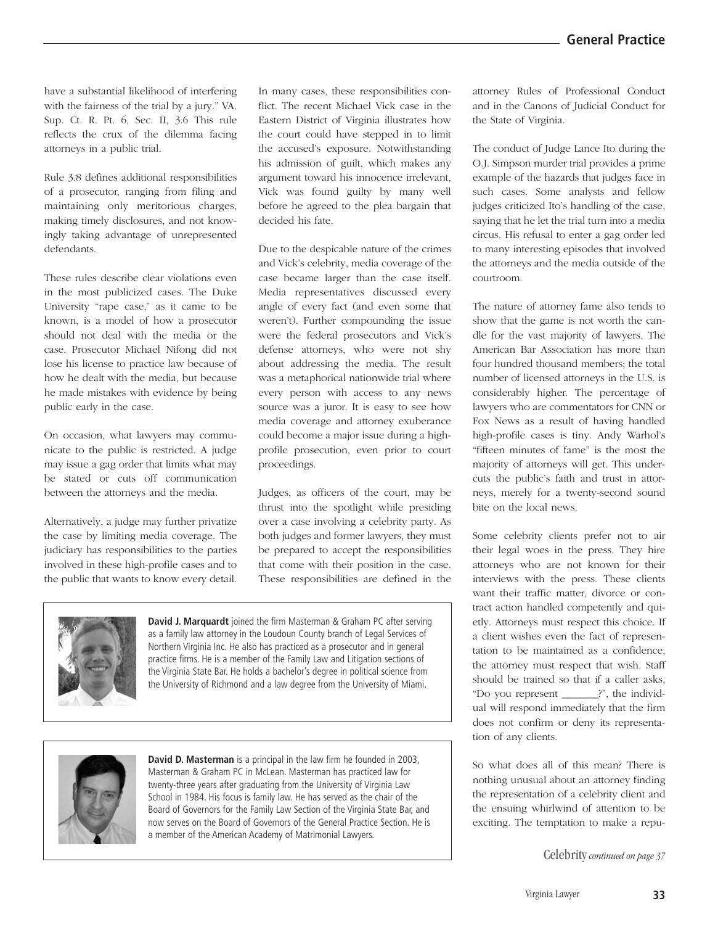have a substantial likelihood of interfering with the fairness of the trial by a jury." VA. Sup. Ct. R. Pt. 6, Sec. II, 3.6 This rule reflects the crux of the dilemma facing attorneys in a public trial.

Rule 3.8 defines additional responsibilities of a prosecutor, ranging from filing and maintaining only meritorious charges, making timely disclosures, and not knowingly taking advantage of unrepresented defendants.

These rules describe clear violations even in the most publicized cases. The Duke University "rape case," as it came to be known, is a model of how a prosecutor should not deal with the media or the case. Prosecutor Michael Nifong did not lose his license to practice law because of how he dealt with the media, but because he made mistakes with evidence by being public early in the case.

On occasion, what lawyers may communicate to the public is restricted. A judge may issue a gag order that limits what may be stated or cuts off communication between the attorneys and the media.

Alternatively, a judge may further privatize the case by limiting media coverage. The judiciary has responsibilities to the parties involved in these high-profile cases and to the public that wants to know every detail.

In many cases, these responsibilities conflict. The recent Michael Vick case in the Eastern District of Virginia illustrates how the court could have stepped in to limit the accused's exposure. Notwithstanding his admission of guilt, which makes any argument toward his innocence irrelevant, Vick was found guilty by many well before he agreed to the plea bargain that decided his fate.

Due to the despicable nature of the crimes and Vick's celebrity, media coverage of the case became larger than the case itself. Media representatives discussed every angle of every fact (and even some that weren't). Further compounding the issue were the federal prosecutors and Vick's defense attorneys, who were not shy about addressing the media. The result was a metaphorical nationwide trial where every person with access to any news source was a juror. It is easy to see how media coverage and attorney exuberance could become a major issue during a highprofile prosecution, even prior to court proceedings.

Judges, as officers of the court, may be thrust into the spotlight while presiding over a case involving a celebrity party. As both judges and former lawyers, they must be prepared to accept the responsibilities that come with their position in the case. These responsibilities are defined in the



**David J. Marquardt** joined the firm Masterman & Graham PC after serving as a family law attorney in the Loudoun County branch of Legal Services of Northern Virginia Inc. He also has practiced as a prosecutor and in general practice firms. He is a member of the Family Law and Litigation sections of the Virginia State Bar. He holds a bachelor's degree in political science from the University of Richmond and a law degree from the University of Miami.



**David D. Masterman** is a principal in the law firm he founded in 2003, Masterman & Graham PC in McLean. Masterman has practiced law for twenty-three years after graduating from the University of Virginia Law School in 1984. His focus is family law. He has served as the chair of the Board of Governors for the Family Law Section of the Virginia State Bar, and now serves on the Board of Governors of the General Practice Section. He is a member of the American Academy of Matrimonial Lawyers.

attorney Rules of Professional Conduct and in the Canons of Judicial Conduct for the State of Virginia.

The conduct of Judge Lance Ito during the O.J. Simpson murder trial provides a prime example of the hazards that judges face in such cases. Some analysts and fellow judges criticized Ito's handling of the case, saying that he let the trial turn into a media circus. His refusal to enter a gag order led to many interesting episodes that involved the attorneys and the media outside of the courtroom.

The nature of attorney fame also tends to show that the game is not worth the candle for the vast majority of lawyers. The American Bar Association has more than four hundred thousand members; the total number of licensed attorneys in the U.S. is considerably higher. The percentage of lawyers who are commentators for CNN or Fox News as a result of having handled high-profile cases is tiny. Andy Warhol's "fifteen minutes of fame" is the most the majority of attorneys will get. This undercuts the public's faith and trust in attorneys, merely for a twenty-second sound bite on the local news.

Some celebrity clients prefer not to air their legal woes in the press. They hire attorneys who are not known for their interviews with the press. These clients want their traffic matter, divorce or contract action handled competently and quietly. Attorneys must respect this choice. If a client wishes even the fact of representation to be maintained as a confidence, the attorney must respect that wish. Staff should be trained so that if a caller asks, "Do you represent \_\_\_\_\_\_\_?", the individual will respond immediately that the firm does not confirm or deny its representation of any clients.

So what does all of this mean? There is nothing unusual about an attorney finding the representation of a celebrity client and the ensuing whirlwind of attention to be exciting. The temptation to make a repu-

Celebrity *continued on page 37*